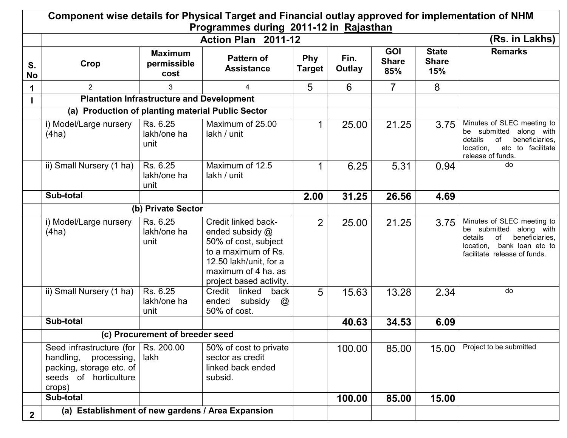|                 | Component wise details for Physical Target and Financial outlay approved for implementation of NHM<br>Programmes during 2011-12 in Rajasthan |                                                  |                                                                                                                                                                   |                |                |                                   |                                     |                                                                                                                                                           |  |  |
|-----------------|----------------------------------------------------------------------------------------------------------------------------------------------|--------------------------------------------------|-------------------------------------------------------------------------------------------------------------------------------------------------------------------|----------------|----------------|-----------------------------------|-------------------------------------|-----------------------------------------------------------------------------------------------------------------------------------------------------------|--|--|
|                 |                                                                                                                                              |                                                  | Action Plan 2011-12                                                                                                                                               |                |                |                                   |                                     | (Rs. in Lakhs)                                                                                                                                            |  |  |
| S.<br><b>No</b> | Crop                                                                                                                                         | <b>Maximum</b><br>permissible<br>cost            | <b>Pattern of</b><br><b>Assistance</b>                                                                                                                            | Phy<br>Target  | Fin.<br>Outlay | <b>GOI</b><br><b>Share</b><br>85% | <b>State</b><br><b>Share</b><br>15% | <b>Remarks</b>                                                                                                                                            |  |  |
| 1               | $\overline{2}$                                                                                                                               | 3                                                | 4                                                                                                                                                                 | 5              | 6              | $\overline{7}$                    | 8                                   |                                                                                                                                                           |  |  |
|                 |                                                                                                                                              | <b>Plantation Infrastructure and Development</b> |                                                                                                                                                                   |                |                |                                   |                                     |                                                                                                                                                           |  |  |
|                 | (a) Production of planting material Public Sector                                                                                            |                                                  |                                                                                                                                                                   |                |                |                                   |                                     |                                                                                                                                                           |  |  |
|                 | i) Model/Large nursery<br>(4ha)                                                                                                              | Rs. 6.25<br>lakh/one ha<br>unit                  | Maximum of 25.00<br>lakh / unit                                                                                                                                   |                | 25.00          | 21.25                             | 3.75                                | Minutes of SLEC meeting to<br>be submitted along with<br>beneficiaries,<br>details<br>0f<br>etc to facilitate<br>location,<br>release of funds.           |  |  |
|                 | ii) Small Nursery (1 ha)                                                                                                                     | Rs. 6.25<br>lakh/one ha<br>unit                  | Maximum of 12.5<br>lakh / unit                                                                                                                                    | 1              | 6.25           | 5.31                              | 0.94                                | do                                                                                                                                                        |  |  |
|                 | Sub-total                                                                                                                                    |                                                  |                                                                                                                                                                   | 2.00           | 31.25          | 26.56                             | 4.69                                |                                                                                                                                                           |  |  |
|                 |                                                                                                                                              | (b) Private Sector                               |                                                                                                                                                                   |                |                |                                   |                                     |                                                                                                                                                           |  |  |
|                 | i) Model/Large nursery<br>(4ha)                                                                                                              | Rs. 6.25<br>lakh/one ha<br>unit                  | Credit linked back-<br>ended subsidy @<br>50% of cost, subject<br>to a maximum of Rs.<br>12.50 lakh/unit, for a<br>maximum of 4 ha. as<br>project based activity. | $\overline{2}$ | 25.00          | 21.25                             | 3.75                                | Minutes of SLEC meeting to<br>be submitted along with<br>beneficiaries,<br>details<br>of<br>bank loan etc to<br>location,<br>facilitate release of funds. |  |  |
|                 | ii) Small Nursery (1 ha)                                                                                                                     | Rs. 6.25<br>lakh/one ha<br>unit                  | Credit linked<br>back<br>subsidy<br>ended<br>$^{\copyright}$<br>50% of cost.                                                                                      | 5              | 15.63          | 13.28                             | 2.34                                | do                                                                                                                                                        |  |  |
|                 | Sub-total                                                                                                                                    |                                                  |                                                                                                                                                                   |                | 40.63          | 34.53                             | 6.09                                |                                                                                                                                                           |  |  |
|                 |                                                                                                                                              | (c) Procurement of breeder seed                  |                                                                                                                                                                   |                |                |                                   |                                     |                                                                                                                                                           |  |  |
|                 | Seed infrastructure (for<br>handling.<br>processing,<br>packing, storage etc. of<br>seeds of horticulture<br>crops)                          | Rs. 200.00<br>lakh                               | 50% of cost to private<br>sector as credit<br>linked back ended<br>subsid.                                                                                        |                | 100.00         | 85.00                             | 15.00                               | Project to be submitted                                                                                                                                   |  |  |
|                 | Sub-total                                                                                                                                    |                                                  |                                                                                                                                                                   |                | 100.00         | 85.00                             | 15.00                               |                                                                                                                                                           |  |  |
| $\mathbf{2}$    | (a) Establishment of new gardens / Area Expansion                                                                                            |                                                  |                                                                                                                                                                   |                |                |                                   |                                     |                                                                                                                                                           |  |  |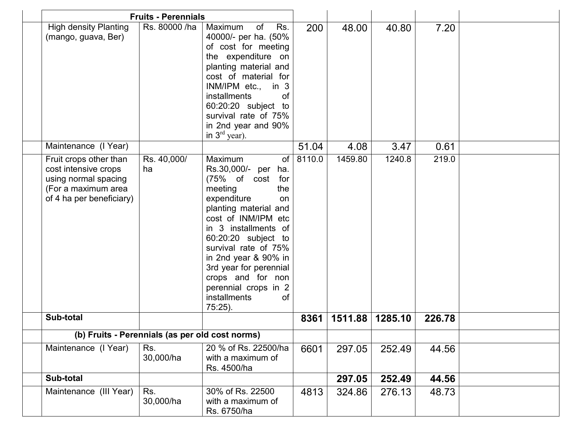|                                                                                                                           | <b>Fruits - Perennials</b> |                                                                                                                                                                                                                                                                                                                                                                     |        |         |         |        |  |
|---------------------------------------------------------------------------------------------------------------------------|----------------------------|---------------------------------------------------------------------------------------------------------------------------------------------------------------------------------------------------------------------------------------------------------------------------------------------------------------------------------------------------------------------|--------|---------|---------|--------|--|
| <b>High density Planting</b><br>(mango, guava, Ber)                                                                       | Rs. 80000 /ha              | Maximum<br>of<br>Rs.<br>40000/- per ha. (50%<br>of cost for meeting<br>the expenditure on<br>planting material and<br>cost of material for<br>INM/IPM etc., in 3<br><b>installments</b><br><b>of</b><br>60:20:20 subject to<br>survival rate of 75%<br>in 2nd year and 90%<br>in $3rd$ year).                                                                       | 200    | 48.00   | 40.80   | 7.20   |  |
| Maintenance (I Year)                                                                                                      |                            |                                                                                                                                                                                                                                                                                                                                                                     | 51.04  | 4.08    | 3.47    | 0.61   |  |
| Fruit crops other than<br>cost intensive crops<br>using normal spacing<br>(For a maximum area<br>of 4 ha per beneficiary) | Rs. 40,000/<br>ha          | of<br>Maximum<br>Rs.30,000/- per ha.<br>(75% of cost<br>for<br>meeting<br>the<br>expenditure<br>on<br>planting material and<br>cost of INM/IPM etc<br>in 3 installments of<br>60:20:20 subject to<br>survival rate of 75%<br>in 2nd year & 90% in<br>3rd year for perennial<br>crops and for non<br>perennial crops in 2<br><i>installments</i><br>of<br>$75:25$ ). | 8110.0 | 1459.80 | 1240.8  | 219.0  |  |
| Sub-total                                                                                                                 |                            |                                                                                                                                                                                                                                                                                                                                                                     | 8361   | 1511.88 | 1285.10 | 226.78 |  |
| (b) Fruits - Perennials (as per old cost norms)                                                                           |                            |                                                                                                                                                                                                                                                                                                                                                                     |        |         |         |        |  |
| Maintenance (I Year)                                                                                                      | Rs.<br>30,000/ha           | 20 % of Rs. 22500/ha<br>with a maximum of<br>Rs. 4500/ha                                                                                                                                                                                                                                                                                                            | 6601   | 297.05  | 252.49  | 44.56  |  |
| Sub-total                                                                                                                 |                            |                                                                                                                                                                                                                                                                                                                                                                     |        | 297.05  | 252.49  | 44.56  |  |
| Maintenance (III Year)                                                                                                    | Rs.<br>30,000/ha           | 30% of Rs. 22500<br>with a maximum of<br>Rs. 6750/ha                                                                                                                                                                                                                                                                                                                | 4813   | 324.86  | 276.13  | 48.73  |  |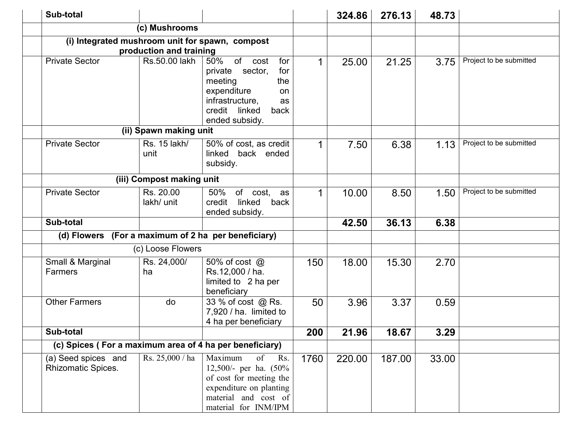| Sub-total                                               |                           |                                                                                                                                                                  |      | 324.86 | 276.13 | 48.73 |                         |
|---------------------------------------------------------|---------------------------|------------------------------------------------------------------------------------------------------------------------------------------------------------------|------|--------|--------|-------|-------------------------|
|                                                         | (c) Mushrooms             |                                                                                                                                                                  |      |        |        |       |                         |
| (i) Integrated mushroom unit for spawn, compost         | production and training   |                                                                                                                                                                  |      |        |        |       |                         |
| <b>Private Sector</b>                                   | Rs.50.00 lakh             | 50%<br>of<br>for<br>cost<br>sector,<br>for<br>private<br>meeting<br>the<br>expenditure<br>on<br>infrastructure,<br>as<br>credit linked<br>back<br>ended subsidy. | 1    | 25.00  | 21.25  | 3.75  | Project to be submitted |
|                                                         | (ii) Spawn making unit    |                                                                                                                                                                  |      |        |        |       |                         |
| <b>Private Sector</b>                                   | Rs. 15 lakh/<br>unit      | 50% of cost, as credit<br>linked back ended<br>subsidy.                                                                                                          | 1    | 7.50   | 6.38   | 1.13  | Project to be submitted |
|                                                         | (iii) Compost making unit |                                                                                                                                                                  |      |        |        |       |                         |
| <b>Private Sector</b>                                   | Rs. 20.00<br>lakh/ unit   | 50%<br>of cost, as<br>linked<br>back<br>credit<br>ended subsidy.                                                                                                 | 1    | 10.00  | 8.50   | 1.50  | Project to be submitted |
| Sub-total                                               |                           |                                                                                                                                                                  |      | 42.50  | 36.13  | 6.38  |                         |
| (d) Flowers                                             |                           | (For a maximum of 2 ha per beneficiary)                                                                                                                          |      |        |        |       |                         |
|                                                         | (c) Loose Flowers         |                                                                                                                                                                  |      |        |        |       |                         |
| Small & Marginal<br>Farmers                             | Rs. 24,000/<br>ha         | 50% of cost @<br>Rs.12,000 / ha.<br>limited to 2 ha per<br>beneficiary                                                                                           | 150  | 18.00  | 15.30  | 2.70  |                         |
| <b>Other Farmers</b>                                    | do                        | 33 % of cost @ Rs.<br>7,920 / ha. limited to<br>4 ha per beneficiary                                                                                             | 50   | 3.96   | 3.37   | 0.59  |                         |
| Sub-total                                               |                           |                                                                                                                                                                  | 200  | 21.96  | 18.67  | 3.29  |                         |
| (c) Spices (For a maximum area of 4 ha per beneficiary) |                           |                                                                                                                                                                  |      |        |        |       |                         |
| (a) Seed spices and<br>Rhizomatic Spices.               | Rs. 25,000 / ha           | Maximum<br>of<br>Rs.<br>12,500/- per ha. (50%<br>of cost for meeting the<br>expenditure on planting<br>material and cost of<br>material for INM/IPM              | 1760 | 220.00 | 187.00 | 33.00 |                         |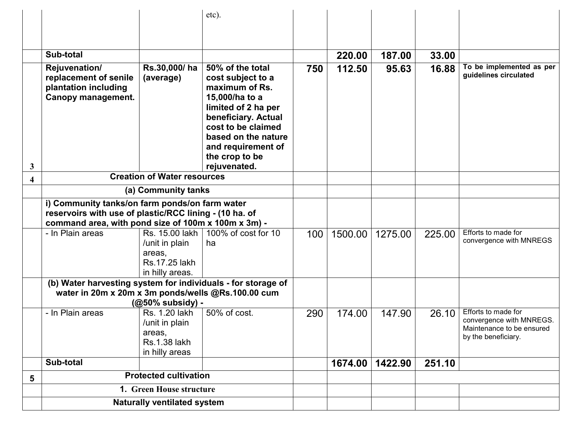|                         |                                                                                                                                                                                        |                                                                                    | etc).                                                                                                                                                                                                                        |     |         |         |        |                                                                                                     |
|-------------------------|----------------------------------------------------------------------------------------------------------------------------------------------------------------------------------------|------------------------------------------------------------------------------------|------------------------------------------------------------------------------------------------------------------------------------------------------------------------------------------------------------------------------|-----|---------|---------|--------|-----------------------------------------------------------------------------------------------------|
|                         |                                                                                                                                                                                        |                                                                                    |                                                                                                                                                                                                                              |     |         |         |        |                                                                                                     |
|                         |                                                                                                                                                                                        |                                                                                    |                                                                                                                                                                                                                              |     |         |         |        |                                                                                                     |
|                         | Sub-total                                                                                                                                                                              |                                                                                    |                                                                                                                                                                                                                              |     | 220.00  | 187.00  | 33.00  |                                                                                                     |
| 3                       | Rejuvenation/<br>replacement of senile<br>plantation including<br>Canopy management.                                                                                                   | Rs.30,000/ha<br>(average)                                                          | 50% of the total<br>cost subject to a<br>maximum of Rs.<br>15,000/ha to a<br>limited of 2 ha per<br>beneficiary. Actual<br>cost to be claimed<br>based on the nature<br>and requirement of<br>the crop to be<br>rejuvenated. | 750 | 112.50  | 95.63   | 16.88  | To be implemented as per<br>guidelines circulated                                                   |
| $\overline{\mathbf{4}}$ |                                                                                                                                                                                        | <b>Creation of Water resources</b>                                                 |                                                                                                                                                                                                                              |     |         |         |        |                                                                                                     |
|                         | (a) Community tanks<br>i) Community tanks/on farm ponds/on farm water<br>reservoirs with use of plastic/RCC lining - (10 ha. of<br>command area, with pond size of 100m x 100m x 3m) - |                                                                                    |                                                                                                                                                                                                                              |     |         |         |        |                                                                                                     |
|                         |                                                                                                                                                                                        |                                                                                    |                                                                                                                                                                                                                              |     |         |         |        |                                                                                                     |
|                         | - In Plain areas                                                                                                                                                                       | Rs. 15.00 lakh<br>/unit in plain<br>areas,<br>Rs. 17.25 lakh<br>in hilly areas.    | 100% of cost for 10<br>ha                                                                                                                                                                                                    | 100 | 1500.00 | 1275.00 | 225.00 | Efforts to made for<br>convergence with MNREGS                                                      |
|                         | (b) Water harvesting system for individuals - for storage of<br>water in 20m x 20m x 3m ponds/wells @Rs.100.00 cum                                                                     | (@50% subsidy) -                                                                   |                                                                                                                                                                                                                              |     |         |         |        |                                                                                                     |
|                         | - In Plain areas                                                                                                                                                                       | Rs. 1.20 lakh<br>/unit in plain<br>areas,<br><b>Rs.1.38 lakh</b><br>in hilly areas | 50% of cost.                                                                                                                                                                                                                 | 290 | 174.00  | 147.90  | 26.10  | Efforts to made for<br>convergence with MNREGS.<br>Maintenance to be ensured<br>by the beneficiary. |
|                         | Sub-total                                                                                                                                                                              |                                                                                    |                                                                                                                                                                                                                              |     | 1674.00 | 1422.90 | 251.10 |                                                                                                     |
| 5                       |                                                                                                                                                                                        | <b>Protected cultivation</b>                                                       |                                                                                                                                                                                                                              |     |         |         |        |                                                                                                     |
|                         |                                                                                                                                                                                        | 1. Green House structure                                                           |                                                                                                                                                                                                                              |     |         |         |        |                                                                                                     |
|                         | <b>Naturally ventilated system</b>                                                                                                                                                     |                                                                                    |                                                                                                                                                                                                                              |     |         |         |        |                                                                                                     |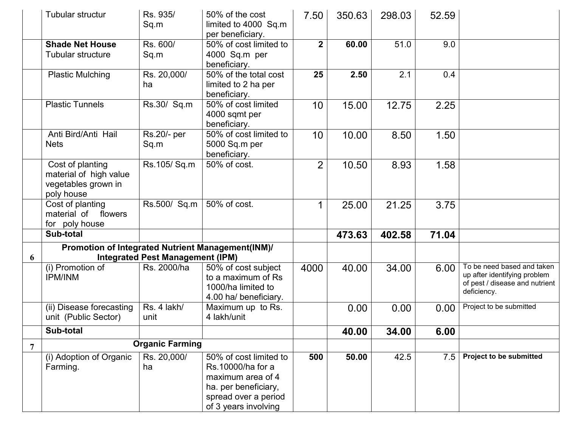|                | Tubular structur                                                                | Rs. 935/<br>Sq.m                        | 50% of the cost<br>limited to 4000 Sq.m<br>per beneficiary.                                                                              | 7.50           | 350.63 | 298.03 | 52.59 |                                                                                                             |
|----------------|---------------------------------------------------------------------------------|-----------------------------------------|------------------------------------------------------------------------------------------------------------------------------------------|----------------|--------|--------|-------|-------------------------------------------------------------------------------------------------------------|
|                | <b>Shade Net House</b><br><b>Tubular structure</b>                              | Rs. 600/<br>Sq.m                        | 50% of cost limited to<br>4000 Sq.m per<br>beneficiary.                                                                                  | $\overline{2}$ | 60.00  | 51.0   | 9.0   |                                                                                                             |
|                | <b>Plastic Mulching</b>                                                         | Rs. 20,000/<br>ha                       | 50% of the total cost<br>limited to 2 ha per<br>beneficiary.                                                                             | 25             | 2.50   | 2.1    | 0.4   |                                                                                                             |
|                | <b>Plastic Tunnels</b>                                                          | Rs.30/ Sq.m                             | 50% of cost limited<br>4000 sqmt per<br>beneficiary.                                                                                     | 10             | 15.00  | 12.75  | 2.25  |                                                                                                             |
|                | Anti Bird/Anti Hail<br><b>Nets</b>                                              | Rs.20/- per<br>Sq.m                     | 50% of cost limited to<br>5000 Sq.m per<br>beneficiary.                                                                                  | 10             | 10.00  | 8.50   | 1.50  |                                                                                                             |
|                | Cost of planting<br>material of high value<br>vegetables grown in<br>poly house | Rs.105/Sq.m                             | 50% of cost.                                                                                                                             | $\overline{2}$ | 10.50  | 8.93   | 1.58  |                                                                                                             |
|                | Cost of planting<br>material of flowers<br>for poly house                       | Rs.500/ Sq.m                            | 50% of cost.                                                                                                                             | 1              | 25.00  | 21.25  | 3.75  |                                                                                                             |
|                | Sub-total                                                                       |                                         |                                                                                                                                          |                | 473.63 | 402.58 | 71.04 |                                                                                                             |
| 6              | Promotion of Integrated Nutrient Management(INM)/                               | <b>Integrated Pest Management (IPM)</b> |                                                                                                                                          |                |        |        |       |                                                                                                             |
|                | (i) Promotion of<br><b>IPM/INM</b>                                              | Rs. 2000/ha                             | 50% of cost subject<br>to a maximum of Rs<br>1000/ha limited to<br>4.00 ha/ beneficiary.                                                 | 4000           | 40.00  | 34.00  | 6.00  | To be need based and taken<br>up after identifying problem<br>of pest / disease and nutrient<br>deficiency. |
|                | (ii) Disease forecasting<br>unit (Public Sector)                                | Rs. 4 lakh/<br>unit                     | Maximum up to Rs.<br>4 lakh/unit                                                                                                         |                | 0.00   | 0.00   | 0.00  | Project to be submitted                                                                                     |
|                | Sub-total                                                                       |                                         |                                                                                                                                          |                | 40.00  | 34.00  | 6.00  |                                                                                                             |
| $\overline{7}$ |                                                                                 | <b>Organic Farming</b>                  |                                                                                                                                          |                |        |        |       |                                                                                                             |
|                | (i) Adoption of Organic<br>Farming.                                             | Rs. 20,000/<br>ha                       | 50% of cost limited to<br>Rs.10000/ha for a<br>maximum area of 4<br>ha. per beneficiary,<br>spread over a period<br>of 3 years involving | 500            | 50.00  | 42.5   | 7.5   | Project to be submitted                                                                                     |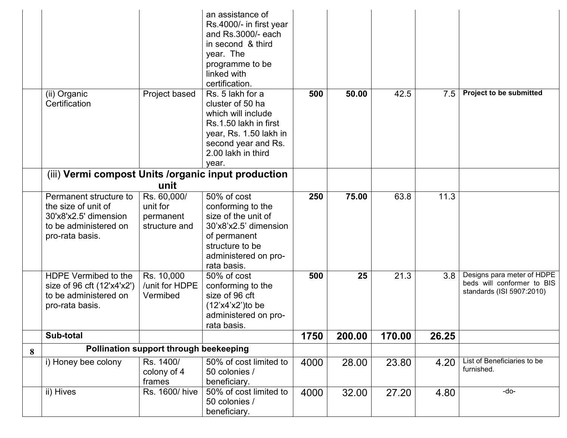|   |                                                                                                                    |                                                       | an assistance of<br>Rs.4000/- in first year<br>and Rs.3000/- each<br>in second & third<br>year. The<br>programme to be<br>linked with<br>certification.             |      |        |        |       |                                                                                       |
|---|--------------------------------------------------------------------------------------------------------------------|-------------------------------------------------------|---------------------------------------------------------------------------------------------------------------------------------------------------------------------|------|--------|--------|-------|---------------------------------------------------------------------------------------|
|   | (ii) Organic<br>Certification                                                                                      | Project based                                         | Rs. 5 lakh for a<br>cluster of 50 ha<br>which will include<br>Rs.1.50 lakh in first<br>year, Rs. 1.50 lakh in<br>second year and Rs.<br>2.00 lakh in third<br>year. | 500  | 50.00  | 42.5   | 7.5   | <b>Project to be submitted</b>                                                        |
|   | (iii) Vermi compost Units / organic input production                                                               |                                                       |                                                                                                                                                                     |      |        |        |       |                                                                                       |
|   |                                                                                                                    | unit                                                  |                                                                                                                                                                     |      |        |        |       |                                                                                       |
|   | Permanent structure to<br>the size of unit of<br>30'x8'x2.5' dimension<br>to be administered on<br>pro-rata basis. | Rs. 60,000/<br>unit for<br>permanent<br>structure and | 50% of cost<br>conforming to the<br>size of the unit of<br>30'x8'x2.5' dimension<br>of permanent<br>structure to be<br>administered on pro-<br>rata basis.          | 250  | 75.00  | 63.8   | 11.3  |                                                                                       |
|   | HDPE Vermibed to the<br>size of 96 cft (12'x4'x2')<br>to be administered on<br>pro-rata basis.                     | Rs. 10,000<br>/unit for HDPE<br>Vermibed              | 50% of cost<br>conforming to the<br>size of 96 cft<br>$(12'x4'x2')$ to be<br>administered on pro-<br>rata basis.                                                    | 500  | 25     | 21.3   | 3.8   | Designs para meter of HDPE<br>beds will conformer to BIS<br>standards (ISI 5907:2010) |
|   | Sub-total                                                                                                          |                                                       |                                                                                                                                                                     | 1750 | 200.00 | 170.00 | 26.25 |                                                                                       |
| 8 |                                                                                                                    | Pollination support through beekeeping                |                                                                                                                                                                     |      |        |        |       |                                                                                       |
|   | i) Honey bee colony                                                                                                | Rs. 1400/<br>colony of 4<br>frames                    | 50% of cost limited to<br>50 colonies /<br>beneficiary.                                                                                                             | 4000 | 28.00  | 23.80  | 4.20  | List of Beneficiaries to be<br>furnished.                                             |
|   | ii) Hives                                                                                                          | Rs. 1600/ hive                                        | 50% of cost limited to<br>50 colonies /<br>beneficiary.                                                                                                             | 4000 | 32.00  | 27.20  | 4.80  | $-do-$                                                                                |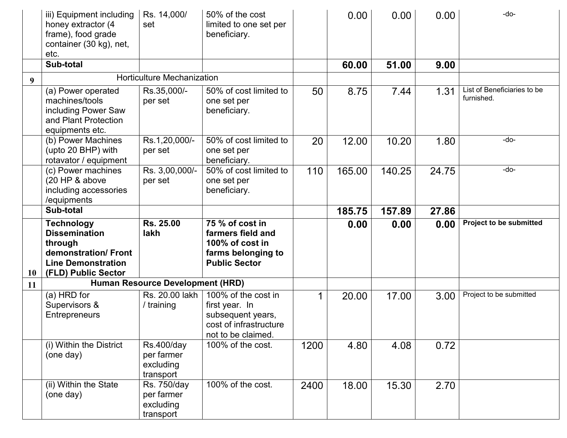|           | iii) Equipment including<br>honey extractor (4<br>frame), food grade<br>container (30 kg), net,<br>etc.                         | Rs. 14,000/<br>set                                        | 50% of the cost<br>limited to one set per<br>beneficiary.                                                  |      | 0.00   | 0.00   | 0.00  | -do-                                      |
|-----------|---------------------------------------------------------------------------------------------------------------------------------|-----------------------------------------------------------|------------------------------------------------------------------------------------------------------------|------|--------|--------|-------|-------------------------------------------|
|           | Sub-total                                                                                                                       |                                                           |                                                                                                            |      | 60.00  | 51.00  | 9.00  |                                           |
| 9         |                                                                                                                                 | <b>Horticulture Mechanization</b>                         |                                                                                                            |      |        |        |       |                                           |
|           | (a) Power operated<br>machines/tools<br>including Power Saw<br>and Plant Protection<br>equipments etc.                          | Rs.35,000/-<br>per set                                    | 50% of cost limited to<br>one set per<br>beneficiary.                                                      | 50   | 8.75   | 7.44   | 1.31  | List of Beneficiaries to be<br>furnished. |
|           | (b) Power Machines<br>(upto 20 BHP) with<br>rotavator / equipment                                                               | Rs.1,20,000/-<br>per set                                  | 50% of cost limited to<br>one set per<br>beneficiary.                                                      | 20   | 12.00  | 10.20  | 1.80  | -do-                                      |
|           | (c) Power machines<br>(20 HP & above<br>including accessories<br>/equipments                                                    | Rs. 3,00,000/-<br>per set                                 | 50% of cost limited to<br>one set per<br>beneficiary.                                                      | 110  | 165.00 | 140.25 | 24.75 | -do-                                      |
|           | Sub-total                                                                                                                       |                                                           |                                                                                                            |      | 185.75 | 157.89 | 27.86 |                                           |
| <b>10</b> | <b>Technology</b><br><b>Dissemination</b><br>through<br>demonstration/Front<br><b>Line Demonstration</b><br>(FLD) Public Sector | Rs. 25.00<br>lakh                                         | 75 % of cost in<br>farmers field and<br>100% of cost in<br>farms belonging to<br><b>Public Sector</b>      |      | 0.00   | 0.00   | 0.00  | Project to be submitted                   |
| 11        |                                                                                                                                 | Human Resource Development (HRD)                          |                                                                                                            |      |        |        |       |                                           |
|           | (a) HRD for<br>Supervisors &<br>Entrepreneurs                                                                                   | Rs. 20.00 lakh<br>/ training                              | 100% of the cost in<br>first year. In<br>subsequent years,<br>cost of infrastructure<br>not to be claimed. | 1    | 20.00  | 17.00  | 3.00  | Project to be submitted                   |
|           | (i) Within the District<br>(one day)                                                                                            | <b>Rs.400/day</b><br>per farmer<br>excluding<br>transport | 100% of the cost.                                                                                          | 1200 | 4.80   | 4.08   | 0.72  |                                           |
|           | (ii) Within the State<br>(one day)                                                                                              | Rs. 750/day<br>per farmer<br>excluding                    | 100% of the cost.                                                                                          | 2400 | 18.00  | 15.30  | 2.70  |                                           |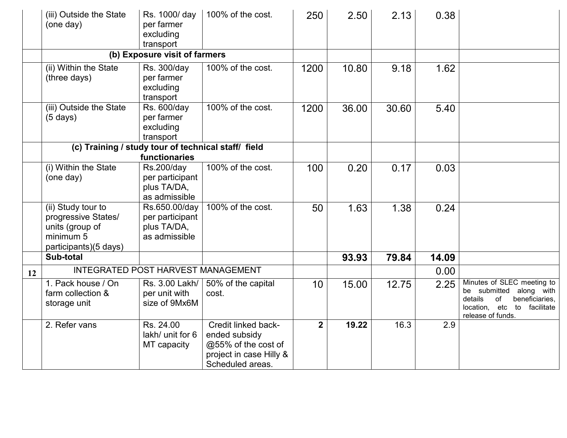|    | (iii) Outside the State<br>(one day)                                                               | Rs. 1000/ day<br>per farmer<br>excluding<br>transport                | 100% of the cost.                                                                                          | 250            | 2.50  | 2.13  | 0.38  |                                                                                                                                              |
|----|----------------------------------------------------------------------------------------------------|----------------------------------------------------------------------|------------------------------------------------------------------------------------------------------------|----------------|-------|-------|-------|----------------------------------------------------------------------------------------------------------------------------------------------|
|    |                                                                                                    | (b) Exposure visit of farmers                                        |                                                                                                            |                |       |       |       |                                                                                                                                              |
|    | (ii) Within the State<br>(three days)                                                              | Rs. 300/day<br>per farmer<br>excluding<br>transport                  | 100% of the cost.                                                                                          | 1200           | 10.80 | 9.18  | 1.62  |                                                                                                                                              |
|    | (iii) Outside the State<br>$(5 \text{ days})$                                                      | Rs. 600/day<br>per farmer<br>excluding<br>transport                  | 100% of the cost.                                                                                          | 1200           | 36.00 | 30.60 | 5.40  |                                                                                                                                              |
|    | (c) Training / study tour of technical staff/ field                                                | functionaries                                                        |                                                                                                            |                |       |       |       |                                                                                                                                              |
|    | (i) Within the State<br>(one day)                                                                  | <b>Rs.200/day</b><br>per participant<br>plus TA/DA,<br>as admissible | 100% of the cost.                                                                                          | 100            | 0.20  | 0.17  | 0.03  |                                                                                                                                              |
|    | (ii) Study tour to<br>progressive States/<br>units (group of<br>minimum 5<br>participants)(5 days) | Rs.650.00/day<br>per participant<br>plus TA/DA,<br>as admissible     | 100% of the cost.                                                                                          | 50             | 1.63  | 1.38  | 0.24  |                                                                                                                                              |
|    | Sub-total                                                                                          |                                                                      |                                                                                                            |                | 93.93 | 79.84 | 14.09 |                                                                                                                                              |
| 12 |                                                                                                    | <b>INTEGRATED POST HARVEST MANAGEMENT</b>                            |                                                                                                            |                |       |       | 0.00  |                                                                                                                                              |
|    | 1. Pack house / On<br>farm collection &<br>storage unit                                            | Rs. 3.00 Lakh/<br>per unit with<br>size of 9Mx6M                     | 50% of the capital<br>cost.                                                                                | 10             | 15.00 | 12.75 | 2.25  | Minutes of SLEC meeting to<br>be submitted along with<br>of<br>beneficiaries,<br>details<br>location, etc to facilitate<br>release of funds. |
|    | 2. Refer vans                                                                                      | Rs. 24.00<br>lakh/ unit for 6<br>MT capacity                         | Credit linked back-<br>ended subsidy<br>@55% of the cost of<br>project in case Hilly &<br>Scheduled areas. | $\overline{2}$ | 19.22 | 16.3  | 2.9   |                                                                                                                                              |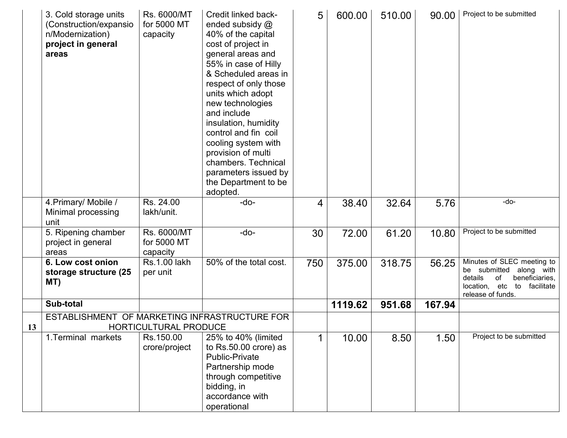|    | 3. Cold storage units<br>(Construction/expansio<br>n/Modernization)<br>project in general<br>areas | Rs. 6000/MT<br>for 5000 MT<br>capacity | Credit linked back-<br>ended subsidy @<br>40% of the capital<br>cost of project in<br>general areas and<br>55% in case of Hilly<br>& Scheduled areas in<br>respect of only those<br>units which adopt<br>new technologies<br>and include<br>insulation, humidity<br>control and fin coil<br>cooling system with<br>provision of multi<br>chambers. Technical<br>parameters issued by<br>the Department to be<br>adopted. | 5   | 600.00  | 510.00 | 90.00  | Project to be submitted                                                                                                                               |
|----|----------------------------------------------------------------------------------------------------|----------------------------------------|--------------------------------------------------------------------------------------------------------------------------------------------------------------------------------------------------------------------------------------------------------------------------------------------------------------------------------------------------------------------------------------------------------------------------|-----|---------|--------|--------|-------------------------------------------------------------------------------------------------------------------------------------------------------|
|    | 4. Primary/ Mobile /<br>Minimal processing<br>unit                                                 | Rs. 24.00<br>lakh/unit.                | $-do-$                                                                                                                                                                                                                                                                                                                                                                                                                   | 4   | 38.40   | 32.64  | 5.76   | -do-                                                                                                                                                  |
|    | 5. Ripening chamber<br>project in general<br>areas                                                 | Rs. 6000/MT<br>for 5000 MT<br>capacity | $-do-$                                                                                                                                                                                                                                                                                                                                                                                                                   | 30  | 72.00   | 61.20  | 10.80  | Project to be submitted                                                                                                                               |
|    | 6. Low cost onion<br>storage structure (25<br>MT)                                                  | <b>Rs.1.00 lakh</b><br>per unit        | 50% of the total cost.                                                                                                                                                                                                                                                                                                                                                                                                   | 750 | 375.00  | 318.75 | 56.25  | Minutes of SLEC meeting to<br>be submitted<br>along with<br>details<br>beneficiaries,<br>0f<br>location,<br>etc to<br>facilitate<br>release of funds. |
|    | Sub-total                                                                                          |                                        |                                                                                                                                                                                                                                                                                                                                                                                                                          |     | 1119.62 | 951.68 | 167.94 |                                                                                                                                                       |
| 13 | ESTABLISHMENT OF MARKETING INFRASTRUCTURE FOR                                                      | <b>HORTICULTURAL PRODUCE</b>           |                                                                                                                                                                                                                                                                                                                                                                                                                          |     |         |        |        |                                                                                                                                                       |
|    | 1. Terminal markets                                                                                | Rs.150.00                              | 25% to 40% (limited                                                                                                                                                                                                                                                                                                                                                                                                      |     |         |        |        | Project to be submitted                                                                                                                               |
|    |                                                                                                    | crore/project                          | to Rs.50.00 crore) as<br><b>Public-Private</b><br>Partnership mode<br>through competitive<br>bidding, in<br>accordance with<br>operational                                                                                                                                                                                                                                                                               |     | 10.00   | 8.50   | 1.50   |                                                                                                                                                       |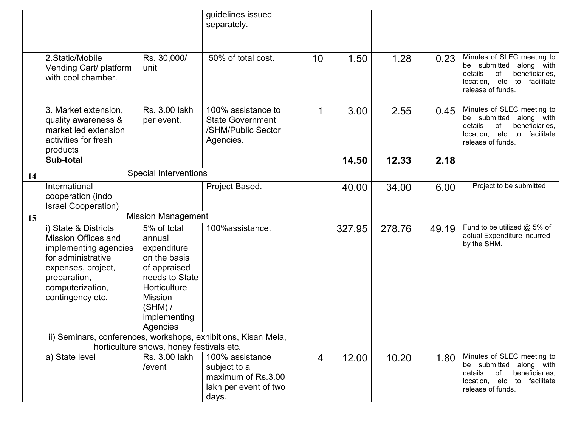|    |                                                                                                                                                                                 |                                                                                                                                                                   | guidelines issued<br>separately.                                                        |    |        |        |       |                                                                                                                                                          |
|----|---------------------------------------------------------------------------------------------------------------------------------------------------------------------------------|-------------------------------------------------------------------------------------------------------------------------------------------------------------------|-----------------------------------------------------------------------------------------|----|--------|--------|-------|----------------------------------------------------------------------------------------------------------------------------------------------------------|
|    | 2. Static/Mobile<br>Vending Cart/ platform<br>with cool chamber.                                                                                                                | Rs. 30,000/<br>unit                                                                                                                                               | 50% of total cost.                                                                      | 10 | 1.50   | 1.28   | 0.23  | Minutes of SLEC meeting to<br>be submitted<br>along with<br>details<br>οf<br>beneficiaries,<br>etc<br>to<br>location,<br>facilitate<br>release of funds. |
|    | 3. Market extension,<br>quality awareness &<br>market led extension<br>activities for fresh<br>products                                                                         | Rs. 3.00 lakh<br>per event.                                                                                                                                       | 100% assistance to<br><b>State Government</b><br>/SHM/Public Sector<br>Agencies.        |    | 3.00   | 2.55   | 0.45  | Minutes of SLEC meeting to<br>be submitted<br>along with<br>beneficiaries,<br>details<br>of<br>location, etc to<br>facilitate<br>release of funds.       |
|    | Sub-total                                                                                                                                                                       |                                                                                                                                                                   |                                                                                         |    | 14.50  | 12.33  | 2.18  |                                                                                                                                                          |
| 14 |                                                                                                                                                                                 | <b>Special Interventions</b>                                                                                                                                      |                                                                                         |    |        |        |       |                                                                                                                                                          |
|    | International<br>cooperation (indo<br><b>Israel Cooperation)</b>                                                                                                                |                                                                                                                                                                   | Project Based.                                                                          |    | 40.00  | 34.00  | 6.00  | Project to be submitted                                                                                                                                  |
| 15 |                                                                                                                                                                                 | <b>Mission Management</b>                                                                                                                                         |                                                                                         |    |        |        |       |                                                                                                                                                          |
|    | i) State & Districts<br><b>Mission Offices and</b><br>implementing agencies<br>for administrative<br>expenses, project,<br>preparation,<br>computerization,<br>contingency etc. | 5% of total<br>annual<br>expenditure<br>on the basis<br>of appraised<br>needs to State<br>Horticulture<br><b>Mission</b><br>$(SHM)$ /<br>implementing<br>Agencies | 100%assistance.                                                                         |    | 327.95 | 278.76 | 49.19 | Fund to be utilized @ 5% of<br>actual Expenditure incurred<br>by the SHM.                                                                                |
|    | ii) Seminars, conferences, workshops, exhibitions, Kisan Mela,                                                                                                                  | horticulture shows, honey festivals etc.                                                                                                                          |                                                                                         |    |        |        |       |                                                                                                                                                          |
|    | a) State level                                                                                                                                                                  | Rs. 3.00 lakh<br>/event                                                                                                                                           | 100% assistance<br>subject to a<br>maximum of Rs.3.00<br>lakh per event of two<br>days. | 4  | 12.00  | 10.20  | 1.80  | Minutes of SLEC meeting to<br>be submitted<br>along with<br>of<br>beneficiaries,<br>details<br>location, etc to facilitate<br>release of funds.          |